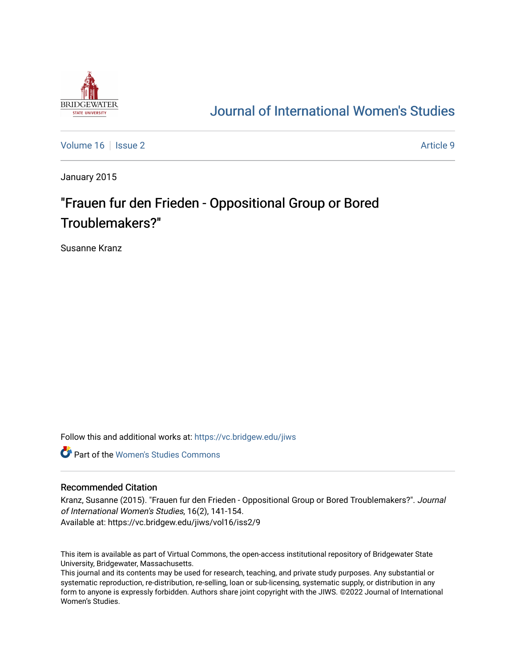

# [Journal of International Women's Studies](https://vc.bridgew.edu/jiws)

[Volume 16](https://vc.bridgew.edu/jiws/vol16) September 2 Article 9

January 2015

# "Frauen fur den Frieden - Oppositional Group or Bored Troublemakers?"

Susanne Kranz

Follow this and additional works at: [https://vc.bridgew.edu/jiws](https://vc.bridgew.edu/jiws?utm_source=vc.bridgew.edu%2Fjiws%2Fvol16%2Fiss2%2F9&utm_medium=PDF&utm_campaign=PDFCoverPages)

**C** Part of the Women's Studies Commons

## Recommended Citation

Kranz, Susanne (2015). "Frauen fur den Frieden - Oppositional Group or Bored Troublemakers?". Journal of International Women's Studies, 16(2), 141-154. Available at: https://vc.bridgew.edu/jiws/vol16/iss2/9

This item is available as part of Virtual Commons, the open-access institutional repository of Bridgewater State University, Bridgewater, Massachusetts.

This journal and its contents may be used for research, teaching, and private study purposes. Any substantial or systematic reproduction, re-distribution, re-selling, loan or sub-licensing, systematic supply, or distribution in any form to anyone is expressly forbidden. Authors share joint copyright with the JIWS. ©2022 Journal of International Women's Studies.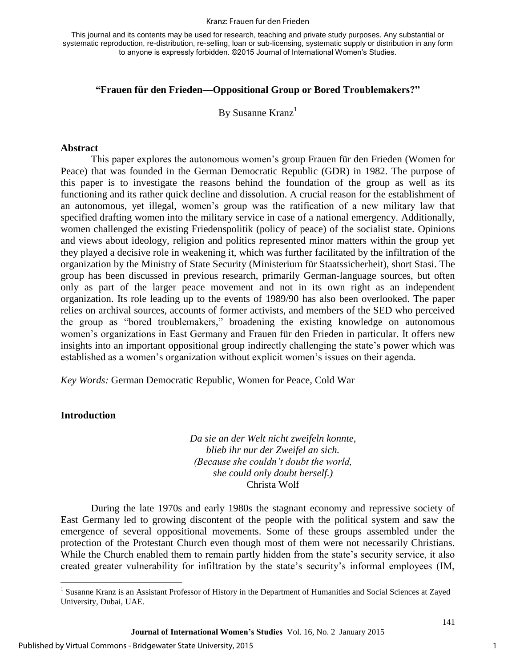#### Kranz: Frauen fur den Frieden

This journal and its contents may be used for research, teaching and private study purposes. Any substantial or systematic reproduction, re-distribution, re-selling, loan or sub-licensing, systematic supply or distribution in any form to anyone is expressly forbidden. ©2015 Journal of International Women's Studies.

# **"Frauen für den Frieden—Oppositional Group or Bored Troublemakers?"**

By Susanne Kranz $<sup>1</sup>$ </sup>

#### **Abstract**

This paper explores the autonomous women's group Frauen für den Frieden (Women for Peace) that was founded in the German Democratic Republic (GDR) in 1982. The purpose of this paper is to investigate the reasons behind the foundation of the group as well as its functioning and its rather quick decline and dissolution. A crucial reason for the establishment of an autonomous, yet illegal, women's group was the ratification of a new military law that specified drafting women into the military service in case of a national emergency. Additionally, women challenged the existing Friedenspolitik (policy of peace) of the socialist state. Opinions and views about ideology, religion and politics represented minor matters within the group yet they played a decisive role in weakening it, which was further facilitated by the infiltration of the organization by the Ministry of State Security (Ministerium für Staatssicherheit), short Stasi. The group has been discussed in previous research, primarily German-language sources, but often only as part of the larger peace movement and not in its own right as an independent organization. Its role leading up to the events of 1989/90 has also been overlooked. The paper relies on archival sources, accounts of former activists, and members of the SED who perceived the group as "bored troublemakers," broadening the existing knowledge on autonomous women's organizations in East Germany and Frauen für den Frieden in particular. It offers new insights into an important oppositional group indirectly challenging the state's power which was established as a women's organization without explicit women's issues on their agenda.

*Key Words:* German Democratic Republic, Women for Peace, Cold War

## **Introduction**

 $\overline{\phantom{a}}$ 

*Da sie an der Welt nicht zweifeln konnte, blieb ihr nur der Zweifel an sich. (Because she couldn't doubt the world, she could only doubt herself.)*  Christa Wolf

During the late 1970s and early 1980s the stagnant economy and repressive society of East Germany led to growing discontent of the people with the political system and saw the emergence of several oppositional movements. Some of these groups assembled under the protection of the Protestant Church even though most of them were not necessarily Christians. While the Church enabled them to remain partly hidden from the state's security service, it also created greater vulnerability for infiltration by the state's security's informal employees (IM,

<sup>&</sup>lt;sup>1</sup> Susanne Kranz is an Assistant Professor of History in the Department of Humanities and Social Sciences at Zayed University, Dubai, UAE.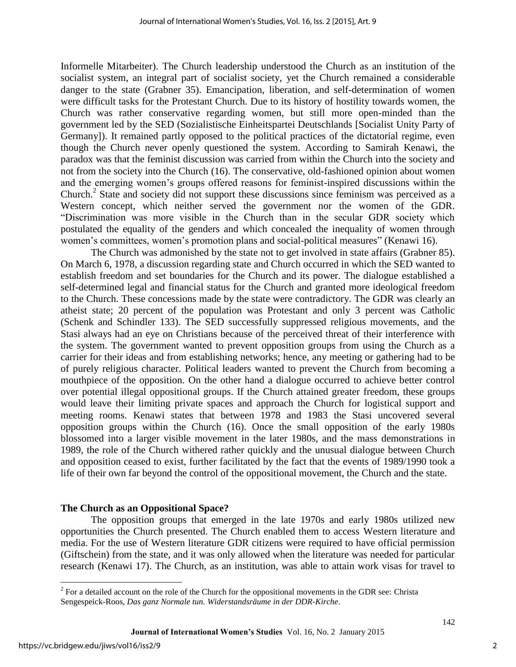Informelle Mitarbeiter). The Church leadership understood the Church as an institution of the socialist system, an integral part of socialist society, yet the Church remained a considerable danger to the state (Grabner 35). Emancipation, liberation, and self-determination of women were difficult tasks for the Protestant Church. Due to its history of hostility towards women, the Church was rather conservative regarding women, but still more open-minded than the government led by the SED (Sozialistische Einheitspartei Deutschlands [Socialist Unity Party of Germany]). It remained partly opposed to the political practices of the dictatorial regime, even though the Church never openly questioned the system. According to Samirah Kenawi, the paradox was that the feminist discussion was carried from within the Church into the society and not from the society into the Church (16). The conservative, old-fashioned opinion about women and the emerging women's groups offered reasons for feminist-inspired discussions within the Church.<sup>2</sup> State and society did not support these discussions since feminism was perceived as a Western concept, which neither served the government nor the women of the GDR. "Discrimination was more visible in the Church than in the secular GDR society which postulated the equality of the genders and which concealed the inequality of women through women's committees, women's promotion plans and social-political measures" (Kenawi 16).

The Church was admonished by the state not to get involved in state affairs (Grabner 85). On March 6, 1978, a discussion regarding state and Church occurred in which the SED wanted to establish freedom and set boundaries for the Church and its power. The dialogue established a self-determined legal and financial status for the Church and granted more ideological freedom to the Church. These concessions made by the state were contradictory. The GDR was clearly an atheist state; 20 percent of the population was Protestant and only 3 percent was Catholic (Schenk and Schindler 133). The SED successfully suppressed religious movements, and the Stasi always had an eye on Christians because of the perceived threat of their interference with the system. The government wanted to prevent opposition groups from using the Church as a carrier for their ideas and from establishing networks; hence, any meeting or gathering had to be of purely religious character. Political leaders wanted to prevent the Church from becoming a mouthpiece of the opposition. On the other hand a dialogue occurred to achieve better control over potential illegal oppositional groups. If the Church attained greater freedom, these groups would leave their limiting private spaces and approach the Church for logistical support and meeting rooms. Kenawi states that between 1978 and 1983 the Stasi uncovered several opposition groups within the Church (16). Once the small opposition of the early 1980s blossomed into a larger visible movement in the later 1980s, and the mass demonstrations in 1989, the role of the Church withered rather quickly and the unusual dialogue between Church and opposition ceased to exist, further facilitated by the fact that the events of 1989/1990 took a life of their own far beyond the control of the oppositional movement, the Church and the state.

# **The Church as an Oppositional Space?**

The opposition groups that emerged in the late 1970s and early 1980s utilized new opportunities the Church presented. The Church enabled them to access Western literature and media. For the use of Western literature GDR citizens were required to have official permission (Giftschein) from the state, and it was only allowed when the literature was needed for particular research (Kenawi 17). The Church, as an institution, was able to attain work visas for travel to

<sup>&</sup>lt;sup>2</sup> For a detailed account on the role of the Church for the oppositional movements in the GDR see: Christa Sengespeick-Roos, *Das ganz Normale tun. Widerstandsräume in der DDR-Kirche*.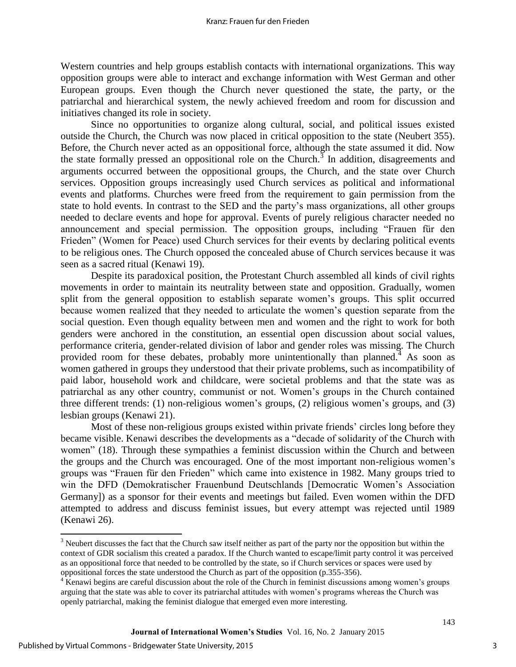Western countries and help groups establish contacts with international organizations. This way opposition groups were able to interact and exchange information with West German and other European groups. Even though the Church never questioned the state, the party, or the patriarchal and hierarchical system, the newly achieved freedom and room for discussion and initiatives changed its role in society.

Since no opportunities to organize along cultural, social, and political issues existed outside the Church, the Church was now placed in critical opposition to the state (Neubert 355). Before, the Church never acted as an oppositional force, although the state assumed it did. Now the state formally pressed an oppositional role on the Church.<sup>3</sup> In addition, disagreements and arguments occurred between the oppositional groups, the Church, and the state over Church services. Opposition groups increasingly used Church services as political and informational events and platforms. Churches were freed from the requirement to gain permission from the state to hold events. In contrast to the SED and the party's mass organizations, all other groups needed to declare events and hope for approval. Events of purely religious character needed no announcement and special permission. The opposition groups, including "Frauen für den Frieden" (Women for Peace) used Church services for their events by declaring political events to be religious ones. The Church opposed the concealed abuse of Church services because it was seen as a sacred ritual (Kenawi 19).

Despite its paradoxical position, the Protestant Church assembled all kinds of civil rights movements in order to maintain its neutrality between state and opposition. Gradually, women split from the general opposition to establish separate women's groups. This split occurred because women realized that they needed to articulate the women's question separate from the social question. Even though equality between men and women and the right to work for both genders were anchored in the constitution, an essential open discussion about social values, performance criteria, gender-related division of labor and gender roles was missing. The Church provided room for these debates, probably more unintentionally than planned.<sup>4</sup> As soon as women gathered in groups they understood that their private problems, such as incompatibility of paid labor, household work and childcare, were societal problems and that the state was as patriarchal as any other country, communist or not. Women's groups in the Church contained three different trends: (1) non-religious women's groups, (2) religious women's groups, and (3) lesbian groups (Kenawi 21).

 Most of these non-religious groups existed within private friends' circles long before they became visible. Kenawi describes the developments as a "decade of solidarity of the Church with women" (18). Through these sympathies a feminist discussion within the Church and between the groups and the Church was encouraged. One of the most important non-religious women's groups was "Frauen für den Frieden" which came into existence in 1982. Many groups tried to win the DFD (Demokratischer Frauenbund Deutschlands [Democratic Women's Association Germany]) as a sponsor for their events and meetings but failed. Even women within the DFD attempted to address and discuss feminist issues, but every attempt was rejected until 1989 (Kenawi 26).

 $\overline{\phantom{a}}$ 

 $3$  Neubert discusses the fact that the Church saw itself neither as part of the party nor the opposition but within the context of GDR socialism this created a paradox. If the Church wanted to escape/limit party control it was perceived as an oppositional force that needed to be controlled by the state, so if Church services or spaces were used by oppositional forces the state understood the Church as part of the opposition (p.355-356).

 $4 K$ enawi begins are careful discussion about the role of the Church in feminist discussions among women's groups arguing that the state was able to cover its patriarchal attitudes with women's programs whereas the Church was openly patriarchal, making the feminist dialogue that emerged even more interesting.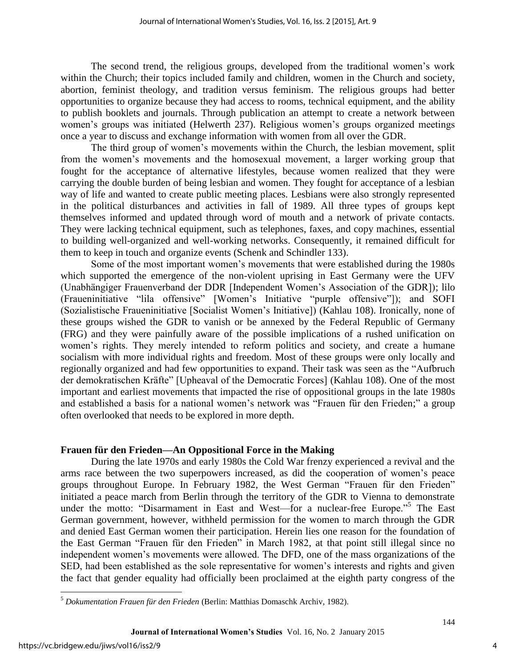The second trend, the religious groups, developed from the traditional women's work within the Church; their topics included family and children, women in the Church and society, abortion, feminist theology, and tradition versus feminism. The religious groups had better opportunities to organize because they had access to rooms, technical equipment, and the ability to publish booklets and journals. Through publication an attempt to create a network between women's groups was initiated (Helwerth 237). Religious women's groups organized meetings once a year to discuss and exchange information with women from all over the GDR.

The third group of women's movements within the Church, the lesbian movement, split from the women's movements and the homosexual movement, a larger working group that fought for the acceptance of alternative lifestyles, because women realized that they were carrying the double burden of being lesbian and women. They fought for acceptance of a lesbian way of life and wanted to create public meeting places. Lesbians were also strongly represented in the political disturbances and activities in fall of 1989. All three types of groups kept themselves informed and updated through word of mouth and a network of private contacts. They were lacking technical equipment, such as telephones, faxes, and copy machines, essential to building well-organized and well-working networks. Consequently, it remained difficult for them to keep in touch and organize events (Schenk and Schindler 133).

Some of the most important women's movements that were established during the 1980s which supported the emergence of the non-violent uprising in East Germany were the UFV (Unabhängiger Frauenverband der DDR [Independent Women's Association of the GDR]); lilo (Fraueninitiative "lila offensive" [Women's Initiative "purple offensive"]); and SOFI (Sozialistische Fraueninitiative [Socialist Women's Initiative]) (Kahlau 108). Ironically, none of these groups wished the GDR to vanish or be annexed by the Federal Republic of Germany (FRG) and they were painfully aware of the possible implications of a rushed unification on women's rights. They merely intended to reform politics and society, and create a humane socialism with more individual rights and freedom. Most of these groups were only locally and regionally organized and had few opportunities to expand. Their task was seen as the "Aufbruch der demokratischen Kräfte" [Upheaval of the Democratic Forces] (Kahlau 108). One of the most important and earliest movements that impacted the rise of oppositional groups in the late 1980s and established a basis for a national women's network was "Frauen für den Frieden;" a group often overlooked that needs to be explored in more depth.

## **Frauen für den Frieden—An Oppositional Force in the Making**

During the late 1970s and early 1980s the Cold War frenzy experienced a revival and the arms race between the two superpowers increased, as did the cooperation of women's peace groups throughout Europe. In February 1982, the West German "Frauen für den Frieden" initiated a peace march from Berlin through the territory of the GDR to Vienna to demonstrate under the motto: "Disarmament in East and West—for a nuclear-free Europe."<sup>5</sup> The East German government, however, withheld permission for the women to march through the GDR and denied East German women their participation. Herein lies one reason for the foundation of the East German "Frauen für den Frieden" in March 1982, at that point still illegal since no independent women's movements were allowed. The DFD, one of the mass organizations of the SED, had been established as the sole representative for women's interests and rights and given the fact that gender equality had officially been proclaimed at the eighth party congress of the

 $\overline{\phantom{a}}$ 

4

<sup>5</sup> *Dokumentation Frauen für den Frieden* (Berlin: Matthias Domaschk Archiv, 1982).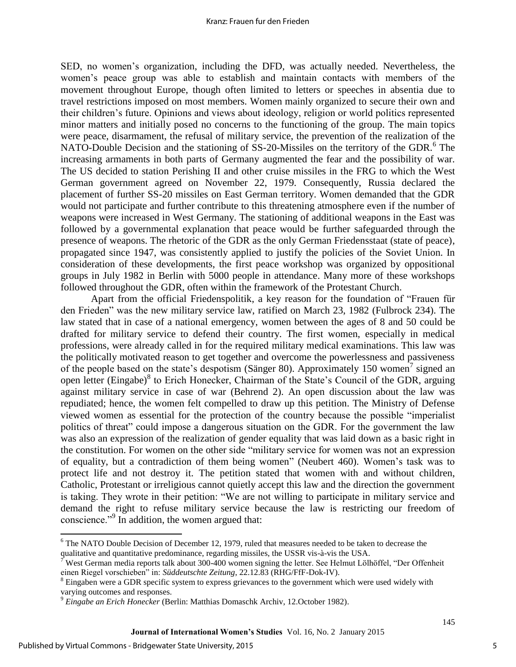#### Kranz: Frauen fur den Frieden

SED, no women's organization, including the DFD, was actually needed. Nevertheless, the women's peace group was able to establish and maintain contacts with members of the movement throughout Europe, though often limited to letters or speeches in absentia due to travel restrictions imposed on most members. Women mainly organized to secure their own and their children's future. Opinions and views about ideology, religion or world politics represented minor matters and initially posed no concerns to the functioning of the group. The main topics were peace, disarmament, the refusal of military service, the prevention of the realization of the NATO-Double Decision and the stationing of SS-20-Missiles on the territory of the GDR.<sup>6</sup> The increasing armaments in both parts of Germany augmented the fear and the possibility of war. The US decided to station Perishing II and other cruise missiles in the FRG to which the West German government agreed on November 22, 1979. Consequently, Russia declared the placement of further SS-20 missiles on East German territory. Women demanded that the GDR would not participate and further contribute to this threatening atmosphere even if the number of weapons were increased in West Germany. The stationing of additional weapons in the East was followed by a governmental explanation that peace would be further safeguarded through the presence of weapons. The rhetoric of the GDR as the only German Friedensstaat (state of peace), propagated since 1947, was consistently applied to justify the policies of the Soviet Union. In consideration of these developments, the first peace workshop was organized by oppositional groups in July 1982 in Berlin with 5000 people in attendance. Many more of these workshops followed throughout the GDR, often within the framework of the Protestant Church.

Apart from the official Friedenspolitik, a key reason for the foundation of "Frauen für den Frieden" was the new military service law, ratified on March 23, 1982 (Fulbrock 234). The law stated that in case of a national emergency, women between the ages of 8 and 50 could be drafted for military service to defend their country. The first women, especially in medical professions, were already called in for the required military medical examinations. This law was the politically motivated reason to get together and overcome the powerlessness and passiveness of the people based on the state's despotism (Sänger 80). Approximately 150 women<sup>7</sup> signed an open letter (Eingabe)<sup>8</sup> to Erich Honecker, Chairman of the State's Council of the GDR, arguing against military service in case of war (Behrend 2). An open discussion about the law was repudiated; hence, the women felt compelled to draw up this petition. The Ministry of Defense viewed women as essential for the protection of the country because the possible "imperialist politics of threat" could impose a dangerous situation on the GDR. For the government the law was also an expression of the realization of gender equality that was laid down as a basic right in the constitution. For women on the other side "military service for women was not an expression of equality, but a contradiction of them being women" (Neubert 460). Women's task was to protect life and not destroy it. The petition stated that women with and without children, Catholic, Protestant or irreligious cannot quietly accept this law and the direction the government is taking. They wrote in their petition: "We are not willing to participate in military service and demand the right to refuse military service because the law is restricting our freedom of conscience."<sup>9</sup> In addition, the women argued that:

 $\overline{\phantom{a}}$ 

<sup>&</sup>lt;sup>6</sup> The NATO Double Decision of December 12, 1979, ruled that measures needed to be taken to decrease the qualitative and quantitative predominance, regarding missiles, the USSR vis-à-vis the USA.

<sup>7</sup> West German media reports talk about 300-400 women signing the letter. See Helmut Lölhöffel, "Der Offenheit einen Riegel vorschieben" in: *Süddeutschte Zeitung*, 22.12.83 (RHG/FfF-Dok-IV).

 $8$  Eingaben were a GDR specific system to express grievances to the government which were used widely with varying outcomes and responses.

<sup>9</sup> *Eingabe an Erich Honecker* (Berlin: Matthias Domaschk Archiv, 12.October 1982).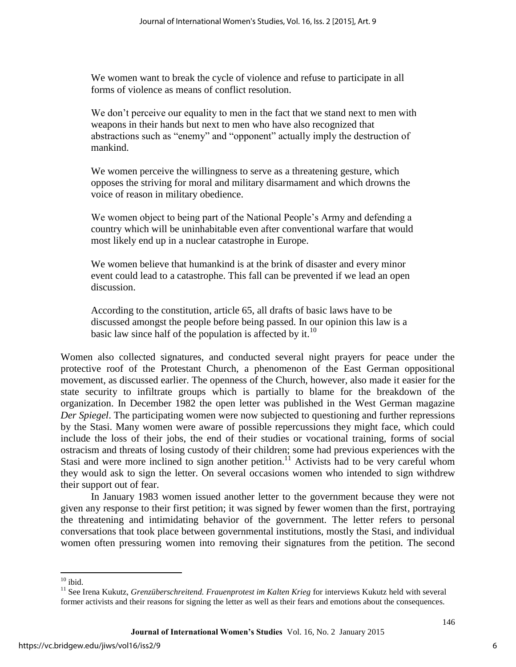We women want to break the cycle of violence and refuse to participate in all forms of violence as means of conflict resolution.

We don't perceive our equality to men in the fact that we stand next to men with weapons in their hands but next to men who have also recognized that abstractions such as "enemy" and "opponent" actually imply the destruction of mankind.

We women perceive the willingness to serve as a threatening gesture, which opposes the striving for moral and military disarmament and which drowns the voice of reason in military obedience.

We women object to being part of the National People's Army and defending a country which will be uninhabitable even after conventional warfare that would most likely end up in a nuclear catastrophe in Europe.

We women believe that humankind is at the brink of disaster and every minor event could lead to a catastrophe. This fall can be prevented if we lead an open discussion.

According to the constitution, article 65, all drafts of basic laws have to be discussed amongst the people before being passed. In our opinion this law is a basic law since half of the population is affected by it.<sup>10</sup>

Women also collected signatures, and conducted several night prayers for peace under the protective roof of the Protestant Church, a phenomenon of the East German oppositional movement, as discussed earlier. The openness of the Church, however, also made it easier for the state security to infiltrate groups which is partially to blame for the breakdown of the organization. In December 1982 the open letter was published in the West German magazine *Der Spiegel*. The participating women were now subjected to questioning and further repressions by the Stasi. Many women were aware of possible repercussions they might face, which could include the loss of their jobs, the end of their studies or vocational training, forms of social ostracism and threats of losing custody of their children; some had previous experiences with the Stasi and were more inclined to sign another petition.<sup>11</sup> Activists had to be very careful whom they would ask to sign the letter. On several occasions women who intended to sign withdrew their support out of fear.

In January 1983 women issued another letter to the government because they were not given any response to their first petition; it was signed by fewer women than the first, portraying the threatening and intimidating behavior of the government. The letter refers to personal conversations that took place between governmental institutions, mostly the Stasi, and individual women often pressuring women into removing their signatures from the petition. The second

 $\overline{\phantom{a}}$  $10$  ibid.

<sup>&</sup>lt;sup>11</sup> See Irena Kukutz, *Grenzüberschreitend. Frauenprotest im Kalten Krieg* for interviews Kukutz held with several former activists and their reasons for signing the letter as well as their fears and emotions about the consequences.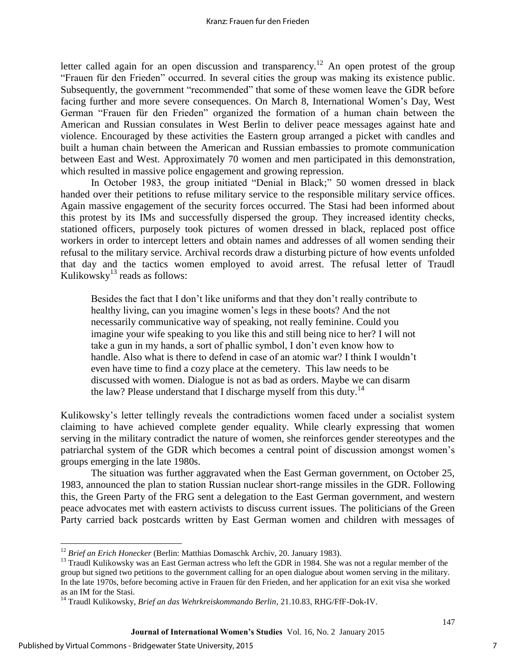letter called again for an open discussion and transparency.<sup>12</sup> An open protest of the group "Frauen für den Frieden" occurred. In several cities the group was making its existence public. Subsequently, the government "recommended" that some of these women leave the GDR before facing further and more severe consequences. On March 8, International Women's Day, West German "Frauen für den Frieden" organized the formation of a human chain between the American and Russian consulates in West Berlin to deliver peace messages against hate and violence. Encouraged by these activities the Eastern group arranged a picket with candles and built a human chain between the American and Russian embassies to promote communication between East and West. Approximately 70 women and men participated in this demonstration, which resulted in massive police engagement and growing repression.

In October 1983, the group initiated "Denial in Black;" 50 women dressed in black handed over their petitions to refuse military service to the responsible military service offices. Again massive engagement of the security forces occurred. The Stasi had been informed about this protest by its IMs and successfully dispersed the group. They increased identity checks, stationed officers, purposely took pictures of women dressed in black, replaced post office workers in order to intercept letters and obtain names and addresses of all women sending their refusal to the military service. Archival records draw a disturbing picture of how events unfolded that day and the tactics women employed to avoid arrest. The refusal letter of Traudl Kulikowsky $^{13}$  reads as follows:

Besides the fact that I don't like uniforms and that they don't really contribute to healthy living, can you imagine women's legs in these boots? And the not necessarily communicative way of speaking, not really feminine. Could you imagine your wife speaking to you like this and still being nice to her? I will not take a gun in my hands, a sort of phallic symbol, I don't even know how to handle. Also what is there to defend in case of an atomic war? I think I wouldn't even have time to find a cozy place at the cemetery. This law needs to be discussed with women. Dialogue is not as bad as orders. Maybe we can disarm the law? Please understand that I discharge myself from this duty. $^{14}$ 

Kulikowsky's letter tellingly reveals the contradictions women faced under a socialist system claiming to have achieved complete gender equality. While clearly expressing that women serving in the military contradict the nature of women, she reinforces gender stereotypes and the patriarchal system of the GDR which becomes a central point of discussion amongst women's groups emerging in the late 1980s.

The situation was further aggravated when the East German government, on October 25, 1983, announced the plan to station Russian nuclear short-range missiles in the GDR. Following this, the Green Party of the FRG sent a delegation to the East German government, and western peace advocates met with eastern activists to discuss current issues. The politicians of the Green Party carried back postcards written by East German women and children with messages of

l

<sup>12</sup> *Brief an Erich Honecker* (Berlin: Matthias Domaschk Archiv, 20. January 1983).

<sup>&</sup>lt;sup>13</sup> Traudl Kulikowsky was an East German actress who left the GDR in 1984. She was not a regular member of the group but signed two petitions to the government calling for an open dialogue about women serving in the military. In the late 1970s, before becoming active in Frauen für den Frieden, and her application for an exit visa she worked as an IM for the Stasi.

<sup>14</sup> Traudl Kulikowsky, *Brief an das Wehrkreiskommando Berlin*, 21.10.83, RHG/FfF-Dok-IV.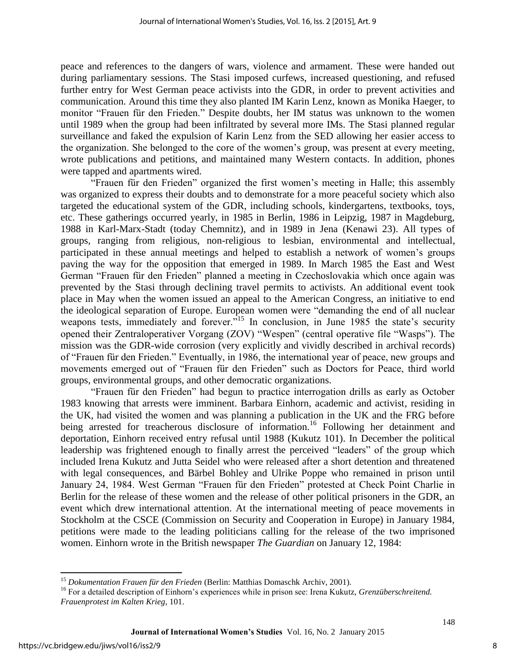peace and references to the dangers of wars, violence and armament. These were handed out during parliamentary sessions. The Stasi imposed curfews, increased questioning, and refused further entry for West German peace activists into the GDR, in order to prevent activities and communication. Around this time they also planted IM Karin Lenz, known as Monika Haeger, to monitor "Frauen für den Frieden." Despite doubts, her IM status was unknown to the women until 1989 when the group had been infiltrated by several more IMs. The Stasi planned regular surveillance and faked the expulsion of Karin Lenz from the SED allowing her easier access to the organization. She belonged to the core of the women's group, was present at every meeting, wrote publications and petitions, and maintained many Western contacts. In addition, phones were tapped and apartments wired.

"Frauen für den Frieden" organized the first women's meeting in Halle; this assembly was organized to express their doubts and to demonstrate for a more peaceful society which also targeted the educational system of the GDR, including schools, kindergartens, textbooks, toys, etc. These gatherings occurred yearly, in 1985 in Berlin, 1986 in Leipzig, 1987 in Magdeburg, 1988 in Karl-Marx-Stadt (today Chemnitz), and in 1989 in Jena (Kenawi 23). All types of groups, ranging from religious, non-religious to lesbian, environmental and intellectual, participated in these annual meetings and helped to establish a network of women's groups paving the way for the opposition that emerged in 1989. In March 1985 the East and West German "Frauen für den Frieden" planned a meeting in Czechoslovakia which once again was prevented by the Stasi through declining travel permits to activists. An additional event took place in May when the women issued an appeal to the American Congress, an initiative to end the ideological separation of Europe. European women were "demanding the end of all nuclear weapons tests, immediately and forever.<sup>515</sup> In conclusion, in June 1985 the state's security opened their Zentraloperativer Vorgang (ZOV) "Wespen" (central operative file "Wasps"). The mission was the GDR-wide corrosion (very explicitly and vividly described in archival records) of "Frauen für den Frieden." Eventually, in 1986, the international year of peace, new groups and movements emerged out of "Frauen für den Frieden" such as Doctors for Peace, third world groups, environmental groups, and other democratic organizations.

"Frauen für den Frieden" had begun to practice interrogation drills as early as October 1983 knowing that arrests were imminent. Barbara Einhorn, academic and activist, residing in the UK, had visited the women and was planning a publication in the UK and the FRG before being arrested for treacherous disclosure of information.<sup>16</sup> Following her detainment and deportation, Einhorn received entry refusal until 1988 (Kukutz 101). In December the political leadership was frightened enough to finally arrest the perceived "leaders" of the group which included Irena Kukutz and Jutta Seidel who were released after a short detention and threatened with legal consequences, and Bärbel Bohley and Ulrike Poppe who remained in prison until January 24, 1984. West German "Frauen für den Frieden" protested at Check Point Charlie in Berlin for the release of these women and the release of other political prisoners in the GDR, an event which drew international attention. At the international meeting of peace movements in Stockholm at the CSCE (Commission on Security and Cooperation in Europe) in January 1984, petitions were made to the leading politicians calling for the release of the two imprisoned women. Einhorn wrote in the British newspaper *The Guardian* on January 12, 1984:

 $\overline{\phantom{a}}$ <sup>15</sup> *Dokumentation Frauen für den Frieden* (Berlin: Matthias Domaschk Archiv, 2001).

<sup>&</sup>lt;sup>16</sup> For a detailed description of Einhorn's experiences while in prison see: Irena Kukutz, *Grenzüberschreitend*. *Frauenprotest im Kalten Krieg*, 101.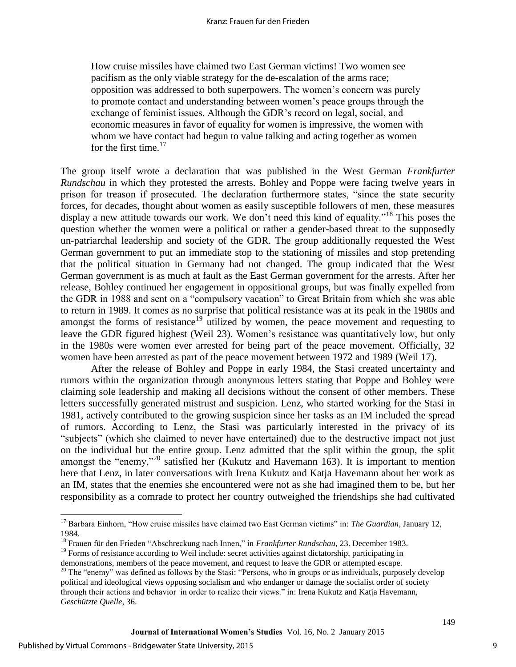How cruise missiles have claimed two East German victims! Two women see pacifism as the only viable strategy for the de-escalation of the arms race; opposition was addressed to both superpowers. The women's concern was purely to promote contact and understanding between women's peace groups through the exchange of feminist issues. Although the GDR's record on legal, social, and economic measures in favor of equality for women is impressive, the women with whom we have contact had begun to value talking and acting together as women for the first time. $17$ 

The group itself wrote a declaration that was published in the West German *Frankfurter Rundschau* in which they protested the arrests. Bohley and Poppe were facing twelve years in prison for treason if prosecuted. The declaration furthermore states, "since the state security forces, for decades, thought about women as easily susceptible followers of men, these measures display a new attitude towards our work. We don't need this kind of equality."<sup>18</sup> This poses the question whether the women were a political or rather a gender-based threat to the supposedly un-patriarchal leadership and society of the GDR. The group additionally requested the West German government to put an immediate stop to the stationing of missiles and stop pretending that the political situation in Germany had not changed. The group indicated that the West German government is as much at fault as the East German government for the arrests. After her release, Bohley continued her engagement in oppositional groups, but was finally expelled from the GDR in 1988 and sent on a "compulsory vacation" to Great Britain from which she was able to return in 1989. It comes as no surprise that political resistance was at its peak in the 1980s and amongst the forms of resistance<sup>19</sup> utilized by women, the peace movement and requesting to leave the GDR figured highest (Weil 23). Women's resistance was quantitatively low, but only in the 1980s were women ever arrested for being part of the peace movement. Officially, 32 women have been arrested as part of the peace movement between 1972 and 1989 (Weil 17).

After the release of Bohley and Poppe in early 1984, the Stasi created uncertainty and rumors within the organization through anonymous letters stating that Poppe and Bohley were claiming sole leadership and making all decisions without the consent of other members. These letters successfully generated mistrust and suspicion. Lenz, who started working for the Stasi in 1981, actively contributed to the growing suspicion since her tasks as an IM included the spread of rumors. According to Lenz, the Stasi was particularly interested in the privacy of its "subjects" (which she claimed to never have entertained) due to the destructive impact not just on the individual but the entire group. Lenz admitted that the split within the group, the split amongst the "enemy,"<sup>20</sup> satisfied her (Kukutz and Havemann 163). It is important to mention here that Lenz, in later conversations with Irena Kukutz and Katja Havemann about her work as an IM, states that the enemies she encountered were not as she had imagined them to be, but her responsibility as a comrade to protect her country outweighed the friendships she had cultivated

 $\overline{\phantom{a}}$ 

<sup>&</sup>lt;sup>17</sup> Barbara Einhorn, "How cruise missiles have claimed two East German victims" in: *The Guardian*, January 12, 1984.

<sup>18</sup> Frauen für den Frieden "Abschreckung nach Innen," in *Frankfurter Rundschau*, 23. December 1983.

<sup>&</sup>lt;sup>19</sup> Forms of resistance according to Weil include: secret activities against dictatorship, participating in demonstrations, members of the peace movement, and request to leave the GDR or attempted escape.

 $20$  The "enemy" was defined as follows by the Stasi: "Persons, who in groups or as individuals, purposely develop political and ideological views opposing socialism and who endanger or damage the socialist order of society through their actions and behavior in order to realize their views." in: Irena Kukutz and Katja Havemann, *Geschützte Quelle*, 36.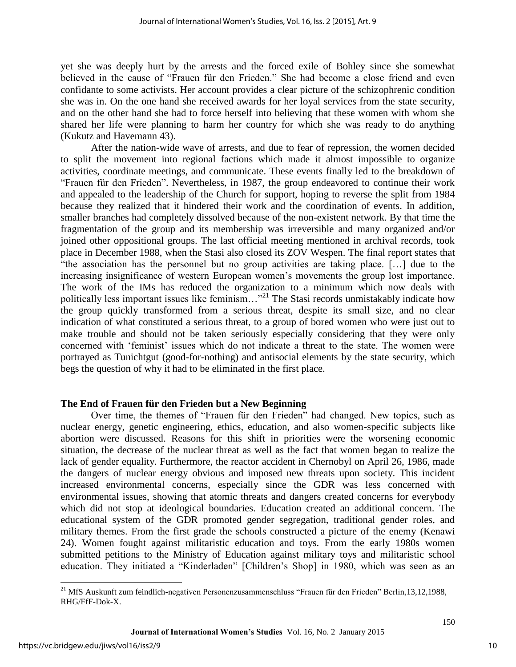yet she was deeply hurt by the arrests and the forced exile of Bohley since she somewhat believed in the cause of "Frauen für den Frieden." She had become a close friend and even confidante to some activists. Her account provides a clear picture of the schizophrenic condition she was in. On the one hand she received awards for her loyal services from the state security, and on the other hand she had to force herself into believing that these women with whom she shared her life were planning to harm her country for which she was ready to do anything (Kukutz and Havemann 43).

After the nation-wide wave of arrests, and due to fear of repression, the women decided to split the movement into regional factions which made it almost impossible to organize activities, coordinate meetings, and communicate. These events finally led to the breakdown of "Frauen für den Frieden". Nevertheless, in 1987, the group endeavored to continue their work and appealed to the leadership of the Church for support, hoping to reverse the split from 1984 because they realized that it hindered their work and the coordination of events. In addition, smaller branches had completely dissolved because of the non-existent network. By that time the fragmentation of the group and its membership was irreversible and many organized and/or joined other oppositional groups. The last official meeting mentioned in archival records, took place in December 1988, when the Stasi also closed its ZOV Wespen. The final report states that "the association has the personnel but no group activities are taking place. […] due to the increasing insignificance of western European women's movements the group lost importance. The work of the IMs has reduced the organization to a minimum which now deals with politically less important issues like feminism..."<sup>21</sup> The Stasi records unmistakably indicate how the group quickly transformed from a serious threat, despite its small size, and no clear indication of what constituted a serious threat, to a group of bored women who were just out to make trouble and should not be taken seriously especially considering that they were only concerned with 'feminist' issues which do not indicate a threat to the state. The women were portrayed as Tunichtgut (good-for-nothing) and antisocial elements by the state security, which begs the question of why it had to be eliminated in the first place.

# **The End of Frauen für den Frieden but a New Beginning**

Over time, the themes of "Frauen für den Frieden" had changed. New topics, such as nuclear energy, genetic engineering, ethics, education, and also women-specific subjects like abortion were discussed. Reasons for this shift in priorities were the worsening economic situation, the decrease of the nuclear threat as well as the fact that women began to realize the lack of gender equality. Furthermore, the reactor accident in Chernobyl on April 26, 1986, made the dangers of nuclear energy obvious and imposed new threats upon society. This incident increased environmental concerns, especially since the GDR was less concerned with environmental issues, showing that atomic threats and dangers created concerns for everybody which did not stop at ideological boundaries. Education created an additional concern. The educational system of the GDR promoted gender segregation, traditional gender roles, and military themes. From the first grade the schools constructed a picture of the enemy (Kenawi 24). Women fought against militaristic education and toys. From the early 1980s women submitted petitions to the Ministry of Education against military toys and militaristic school education. They initiated a "Kinderladen" [Children's Shop] in 1980, which was seen as an

 $\overline{\phantom{a}}$ 

<sup>&</sup>lt;sup>21</sup> MfS Auskunft zum feindlich-negativen Personenzusammenschluss "Frauen für den Frieden" Berlin,13,12,1988, RHG/FfF-Dok-X.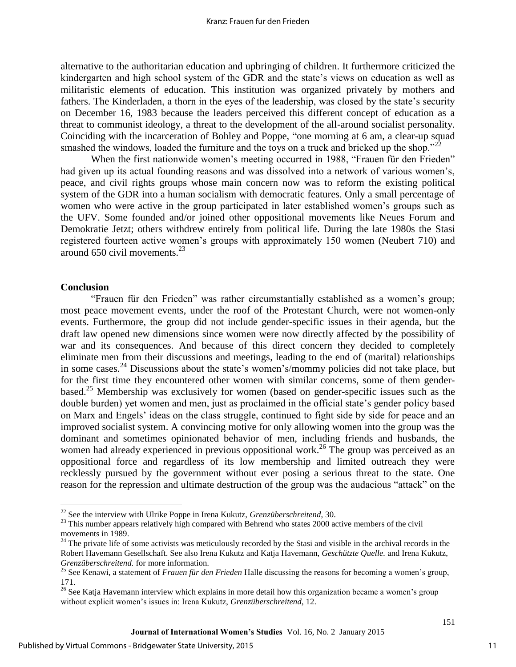alternative to the authoritarian education and upbringing of children. It furthermore criticized the kindergarten and high school system of the GDR and the state's views on education as well as militaristic elements of education. This institution was organized privately by mothers and fathers. The Kinderladen, a thorn in the eyes of the leadership, was closed by the state's security on December 16, 1983 because the leaders perceived this different concept of education as a threat to communist ideology, a threat to the development of the all-around socialist personality. Coinciding with the incarceration of Bohley and Poppe, "one morning at 6 am, a clear-up squad smashed the windows, loaded the furniture and the toys on a truck and bricked up the shop." $22$ 

When the first nationwide women's meeting occurred in 1988, "Frauen für den Frieden" had given up its actual founding reasons and was dissolved into a network of various women's, peace, and civil rights groups whose main concern now was to reform the existing political system of the GDR into a human socialism with democratic features. Only a small percentage of women who were active in the group participated in later established women's groups such as the UFV. Some founded and/or joined other oppositional movements like Neues Forum and Demokratie Jetzt; others withdrew entirely from political life. During the late 1980s the Stasi registered fourteen active women's groups with approximately 150 women (Neubert 710) and around 650 civil movements. $^{23}$ 

# **Conclusion**

 $\overline{\phantom{a}}$ 

"Frauen für den Frieden" was rather circumstantially established as a women's group; most peace movement events, under the roof of the Protestant Church, were not women-only events. Furthermore, the group did not include gender-specific issues in their agenda, but the draft law opened new dimensions since women were now directly affected by the possibility of war and its consequences. And because of this direct concern they decided to completely eliminate men from their discussions and meetings, leading to the end of (marital) relationships in some cases.<sup>24</sup> Discussions about the state's women's/mommy policies did not take place, but for the first time they encountered other women with similar concerns, some of them genderbased.<sup>25</sup> Membership was exclusively for women (based on gender-specific issues such as the double burden) yet women and men, just as proclaimed in the official state's gender policy based on Marx and Engels' ideas on the class struggle, continued to fight side by side for peace and an improved socialist system. A convincing motive for only allowing women into the group was the dominant and sometimes opinionated behavior of men, including friends and husbands, the women had already experienced in previous oppositional work.<sup>26</sup> The group was perceived as an oppositional force and regardless of its low membership and limited outreach they were recklessly pursued by the government without ever posing a serious threat to the state. One reason for the repression and ultimate destruction of the group was the audacious "attack" on the

<sup>22</sup> See the interview with Ulrike Poppe in Irena Kukutz, *Grenzüberschreitend*, 30.

<sup>&</sup>lt;sup>23</sup> This number appears relatively high compared with Behrend who states 2000 active members of the civil movements in 1989.

<sup>&</sup>lt;sup>24</sup> The private life of some activists was meticulously recorded by the Stasi and visible in the archival records in the Robert Havemann Gesellschaft. See also Irena Kukutz and Katja Havemann, *Geschützte Quelle.* and Irena Kukutz, *Grenzüberschreitend.* for more information.

<sup>25</sup> See Kenawi, a statement of *Frauen für den Frieden* Halle discussing the reasons for becoming a women's group, 171.

<sup>&</sup>lt;sup>26</sup> See Katja Havemann interview which explains in more detail how this organization became a women's group without explicit women's issues in: Irena Kukutz, *Grenzüberschreitend*, 12.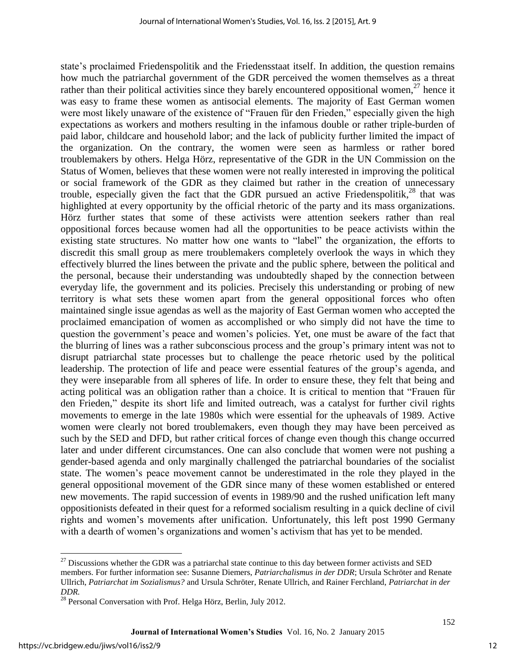state's proclaimed Friedenspolitik and the Friedensstaat itself. In addition, the question remains how much the patriarchal government of the GDR perceived the women themselves as a threat rather than their political activities since they barely encountered oppositional women,  $27$  hence it was easy to frame these women as antisocial elements. The majority of East German women were most likely unaware of the existence of "Frauen für den Frieden," especially given the high expectations as workers and mothers resulting in the infamous double or rather triple-burden of paid labor, childcare and household labor; and the lack of publicity further limited the impact of the organization. On the contrary, the women were seen as harmless or rather bored troublemakers by others. Helga Hörz, representative of the GDR in the UN Commission on the Status of Women, believes that these women were not really interested in improving the political or social framework of the GDR as they claimed but rather in the creation of unnecessary trouble, especially given the fact that the GDR pursued an active Friedenspolitik, $^{28}$  that was highlighted at every opportunity by the official rhetoric of the party and its mass organizations. Hörz further states that some of these activists were attention seekers rather than real oppositional forces because women had all the opportunities to be peace activists within the existing state structures. No matter how one wants to "label" the organization, the efforts to discredit this small group as mere troublemakers completely overlook the ways in which they effectively blurred the lines between the private and the public sphere, between the political and the personal, because their understanding was undoubtedly shaped by the connection between everyday life, the government and its policies. Precisely this understanding or probing of new territory is what sets these women apart from the general oppositional forces who often maintained single issue agendas as well as the majority of East German women who accepted the proclaimed emancipation of women as accomplished or who simply did not have the time to question the government's peace and women's policies. Yet, one must be aware of the fact that the blurring of lines was a rather subconscious process and the group's primary intent was not to disrupt patriarchal state processes but to challenge the peace rhetoric used by the political leadership. The protection of life and peace were essential features of the group's agenda, and they were inseparable from all spheres of life. In order to ensure these, they felt that being and acting political was an obligation rather than a choice. It is critical to mention that "Frauen für den Frieden," despite its short life and limited outreach, was a catalyst for further civil rights movements to emerge in the late 1980s which were essential for the upheavals of 1989. Active women were clearly not bored troublemakers, even though they may have been perceived as such by the SED and DFD, but rather critical forces of change even though this change occurred later and under different circumstances. One can also conclude that women were not pushing a gender-based agenda and only marginally challenged the patriarchal boundaries of the socialist state. The women's peace movement cannot be underestimated in the role they played in the general oppositional movement of the GDR since many of these women established or entered new movements. The rapid succession of events in 1989/90 and the rushed unification left many oppositionists defeated in their quest for a reformed socialism resulting in a quick decline of civil rights and women's movements after unification. Unfortunately, this left post 1990 Germany with a dearth of women's organizations and women's activism that has yet to be mended.

 $\overline{a}$ 

 $27$  Discussions whether the GDR was a patriarchal state continue to this day between former activists and SED members. For further information see: Susanne Diemers, *Patriarchalismus in der DDR*; Ursula Schröter and Renate Ullrich, *Patriarchat im Sozialismus?* and Ursula Schröter, Renate Ullrich, and Rainer Ferchland, *Patriarchat in der DDR.* 

<sup>&</sup>lt;sup>28</sup> Personal Conversation with Prof. Helga Hörz, Berlin, July 2012.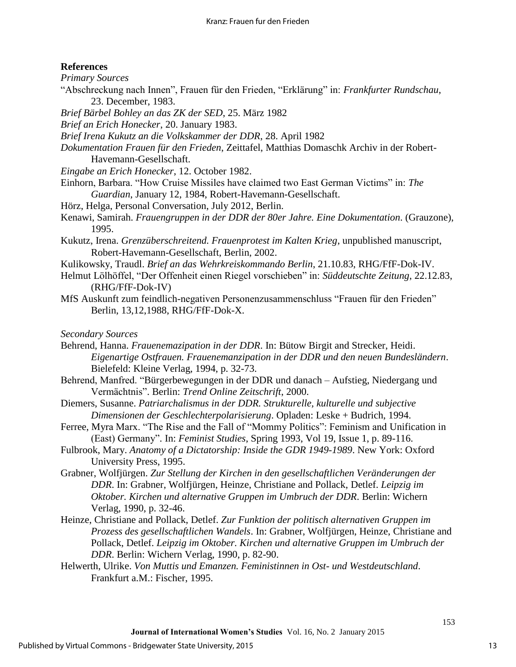# **References**

*Primary Sources* 

- "Abschreckung nach Innen", Frauen für den Frieden, "Erklärung" in: *Frankfurter Rundschau*, 23. December, 1983.
- *Brief Bärbel Bohley an das ZK der SED*, 25. März 1982
- *Brief an Erich Honecker*, 20. January 1983.
- *Brief Irena Kukutz an die Volkskammer der DDR*, 28. April 1982
- *Dokumentation Frauen für den Frieden*, Zeittafel, Matthias Domaschk Archiv in der Robert-Havemann-Gesellschaft.
- *Eingabe an Erich Honecker*, 12. October 1982.
- Einhorn, Barbara. "How Cruise Missiles have claimed two East German Victims" in: *The Guardian*, January 12, 1984, Robert-Havemann-Gesellschaft.
- Hörz, Helga, Personal Conversation, July 2012, Berlin.
- Kenawi, Samirah. *Frauengruppen in der DDR der 80er Jahre. Eine Dokumentation*. (Grauzone), 1995.
- Kukutz, Irena. *Grenzüberschreitend. Frauenprotest im Kalten Krieg*, unpublished manuscript, Robert-Havemann-Gesellschaft, Berlin, 2002.
- Kulikowsky, Traudl. *Brief an das Wehrkreiskommando Berlin*, 21.10.83, RHG/FfF-Dok-IV.
- Helmut Lölhöffel, "Der Offenheit einen Riegel vorschieben" in: *Süddeutschte Zeitung*, 22.12.83, (RHG/FfF-Dok-IV)
- MfS Auskunft zum feindlich-negativen Personenzusammenschluss "Frauen für den Frieden" Berlin, 13,12,1988, RHG/FfF-Dok-X.

*Secondary Sources* 

- Behrend, Hanna. *Frauenemazipation in der DDR*. In: Bütow Birgit and Strecker, Heidi. *Eigenartige Ostfrauen. Frauenemanzipation in der DDR und den neuen Bundesländern*. Bielefeld: Kleine Verlag, 1994, p. 32-73.
- Behrend, Manfred. "Bürgerbewegungen in der DDR und danach Aufstieg, Niedergang und Vermächtnis". Berlin: *Trend Online Zeitschrift*, 2000.
- Diemers, Susanne. *Patriarchalismus in der DDR. Strukturelle, kulturelle und subjective Dimensionen der Geschlechterpolarisierung*. Opladen: Leske + Budrich, 1994.
- Ferree, Myra Marx. "The Rise and the Fall of "Mommy Politics": Feminism and Unification in (East) Germany". In: *Feminist Studies*, Spring 1993, Vol 19, Issue 1, p. 89-116.
- Fulbrook, Mary. *Anatomy of a Dictatorship: Inside the GDR 1949-1989*. New York: Oxford University Press, 1995.
- Grabner, Wolfjürgen. *Zur Stellung der Kirchen in den gesellschaftlichen Veränderungen der DDR*. In: Grabner, Wolfjürgen, Heinze, Christiane and Pollack, Detlef. *Leipzig im Oktober. Kirchen und alternative Gruppen im Umbruch der DDR*. Berlin: Wichern Verlag, 1990, p. 32-46.
- Heinze, Christiane and Pollack, Detlef. *Zur Funktion der politisch alternativen Gruppen im Prozess des gesellschaftlichen Wandels*. In: Grabner, Wolfjürgen, Heinze, Christiane and Pollack, Detlef. *Leipzig im Oktober. Kirchen und alternative Gruppen im Umbruch der DDR*. Berlin: Wichern Verlag, 1990, p. 82-90.
- Helwerth, Ulrike. *Von Muttis und Emanzen. Feministinnen in Ost- und Westdeutschland*. Frankfurt a.M.: Fischer, 1995.